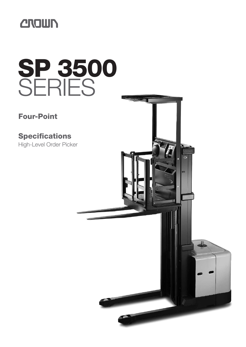

# **SP 3500** SERIES

## **Four-Point**

**Specifications** High-Level Order Picker

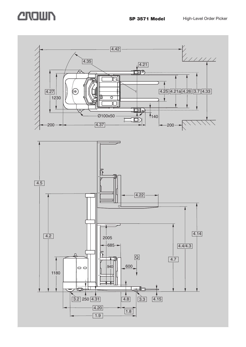

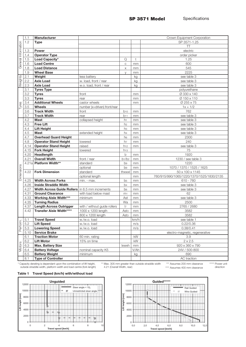|                     | 1.1    | Manufacturer                                                          | Crown Equipment Corporation  |                  |      |                                                                                                        |  |  |  |  |  |  |
|---------------------|--------|-----------------------------------------------------------------------|------------------------------|------------------|------|--------------------------------------------------------------------------------------------------------|--|--|--|--|--|--|
|                     | 1.2    | Type                                                                  |                              |                  |      | SP 3571-1.25                                                                                           |  |  |  |  |  |  |
| General Information |        |                                                                       |                              |                  |      | $\top$                                                                                                 |  |  |  |  |  |  |
|                     | 1.3    | Power                                                                 |                              |                  |      | electric                                                                                               |  |  |  |  |  |  |
|                     | 1.4    | <b>Operator Type</b>                                                  |                              |                  |      | order picker                                                                                           |  |  |  |  |  |  |
|                     | 1.5    | Load Capacity*                                                        |                              | Q                | t    | 1.25                                                                                                   |  |  |  |  |  |  |
|                     | 1.6    | <b>Load Centre</b>                                                    |                              | C                | mm   | 600                                                                                                    |  |  |  |  |  |  |
|                     | 1.8    | <b>Load Distance</b>                                                  |                              | X                | mm   | 545                                                                                                    |  |  |  |  |  |  |
|                     | 1.9    | <b>Wheel Base</b>                                                     |                              | V                | mm   | 2225                                                                                                   |  |  |  |  |  |  |
|                     | 2.1    | Weight                                                                | less battery                 |                  | kg   | see table 3                                                                                            |  |  |  |  |  |  |
| Weights             | 2.2    | <b>Axle Load</b>                                                      | w. load, front / rear        |                  | kg   | see table 3                                                                                            |  |  |  |  |  |  |
|                     | 2.3    | <b>Axle Load</b>                                                      | w.o. load, front / rear      |                  | kg   | see table 3                                                                                            |  |  |  |  |  |  |
|                     | 3.1    | <b>Tyres Type</b>                                                     |                              |                  |      | polyurethane                                                                                           |  |  |  |  |  |  |
|                     | 3.2    | <b>Tyres</b>                                                          | front                        |                  | mm   | Ø 330 x 140                                                                                            |  |  |  |  |  |  |
|                     | 3.3    | <b>Tyres</b>                                                          | rear                         |                  | mm   | Ø 150 x 110                                                                                            |  |  |  |  |  |  |
|                     | 3.4    | <b>Additional Wheels</b>                                              | castor wheels                |                  | mm   | Ø 255 x 75                                                                                             |  |  |  |  |  |  |
| Tyres               | 3.5    | <b>Wheels</b>                                                         | number (x=driven) front/rear |                  |      | $1x + 1/2$                                                                                             |  |  |  |  |  |  |
|                     | 3.6    | <b>Track Width</b>                                                    | front                        | $b_{10}$         | mm   | 762                                                                                                    |  |  |  |  |  |  |
|                     | 3.7    | <b>Track Width</b>                                                    | rear                         | b11              | mm   | see table 3                                                                                            |  |  |  |  |  |  |
|                     | 4.2    | Mast                                                                  | collapsed height             | h1               | mm   | see table 3                                                                                            |  |  |  |  |  |  |
|                     | 4.3    | <b>Free Lift</b>                                                      |                              | h <sub>2</sub>   | mm   | see table 3                                                                                            |  |  |  |  |  |  |
|                     | 4.4    | <b>Lift Height</b>                                                    |                              | hз               | mm   | see table 3                                                                                            |  |  |  |  |  |  |
|                     | 4.5    | Mast                                                                  | extended height              | h <sub>4</sub>   | mm   | see table 3                                                                                            |  |  |  |  |  |  |
|                     | 4.7    | <b>Overhead Guard Height</b>                                          |                              | h <sub>6</sub>   | mm   | 2300                                                                                                   |  |  |  |  |  |  |
|                     | 4.8    | <b>Operator Stand Height</b>                                          | lowered                      | h7               | mm   | 240                                                                                                    |  |  |  |  |  |  |
|                     | 4.14   | <b>Operator Stand Height</b>                                          | raised                       | h <sub>12</sub>  | mm   | see table 3                                                                                            |  |  |  |  |  |  |
|                     | 4.15   | <b>Fork Height</b>                                                    | lowered                      | h <sub>13</sub>  |      | 75                                                                                                     |  |  |  |  |  |  |
|                     | 4.20   | Headlength                                                            |                              | 2                | mm   | 1920                                                                                                   |  |  |  |  |  |  |
|                     | 4.21   | <b>Overall Width</b>                                                  | front / rear                 | b1/b2            | mm   | 1230 / see table 3                                                                                     |  |  |  |  |  |  |
|                     | 4.21al | <b>Platform Width**</b>                                               | standard                     | b <sub>9</sub>   | mm   | 1220                                                                                                   |  |  |  |  |  |  |
|                     |        |                                                                       | optional                     | b9               | mm   | 1070 / 1370 / 1525 / 1625                                                                              |  |  |  |  |  |  |
| Dimensions          | 4.22   | <b>Fork Dimension</b>                                                 | standard                     | thxwxl           | mm   | 50 x 100 x 1145                                                                                        |  |  |  |  |  |  |
|                     |        |                                                                       | optional length              |                  | mm   | 760/915/990/1065/1220/1370/1525/1830/2135                                                              |  |  |  |  |  |  |
|                     | 4.25   | <b>Width Across Forks</b>                                             | min. - max.                  | b <sub>5</sub>   | mm   | $610 - 760$                                                                                            |  |  |  |  |  |  |
|                     | 4.26   | <b>Inside Straddle Width</b>                                          |                              | b <sub>4</sub>   | mm   | see table 3                                                                                            |  |  |  |  |  |  |
|                     | 4.27   | <b>Width Across Guide Rollers</b> in 6.5 mm increments                |                              | b <sub>6</sub>   | mm   | see table 3                                                                                            |  |  |  |  |  |  |
|                     | 4.31   | <b>Ground Clearance</b>                                               | with load below mast         | m <sub>1</sub>   | mm   | 62                                                                                                     |  |  |  |  |  |  |
|                     | 4.33   | <b>Working Aisle Width***</b>                                         | minimum                      | Ast              | mm   | see table 3                                                                                            |  |  |  |  |  |  |
|                     | 4.35   | <b>Turning Radius</b>                                                 |                              | Wa               | mm   | 2500                                                                                                   |  |  |  |  |  |  |
|                     | 4.37   | <b>Length Across Outrigger</b>                                        | with / without guide rollers | 7                | mm   | 2765 / 2680                                                                                            |  |  |  |  |  |  |
|                     | 4.42   | <b>Transfer Aisle Width****</b>                                       | 1000 x 1200 length           | Ast <sub>3</sub> | mm   | 3582                                                                                                   |  |  |  |  |  |  |
|                     |        |                                                                       | 800 x 1200 length            | Ast <sub>3</sub> | mm   | 3582                                                                                                   |  |  |  |  |  |  |
|                     | 5.1    | <b>Travel Speed</b>                                                   | w./w.o. load                 |                  | km/h | see table 1                                                                                            |  |  |  |  |  |  |
|                     | 5.2    | <b>Lift Speed</b>                                                     | w./w.o. load                 |                  | m/s  | 0.22/0.36                                                                                              |  |  |  |  |  |  |
| Perform             | 5.3    | <b>Lowering Speed</b>                                                 | w./w.o. load                 |                  | m/s  | 0.38/0.41                                                                                              |  |  |  |  |  |  |
|                     | 5.10   | <b>Service Brake</b>                                                  |                              |                  |      | electro-magnetic, regenerative                                                                         |  |  |  |  |  |  |
|                     | 6.1    | <b>Traction Motor</b>                                                 | 60 min. rating               |                  | kW   | 3.9                                                                                                    |  |  |  |  |  |  |
|                     | 6.2    | <b>Lift Motor</b>                                                     | 15% on time                  |                  | kW   | $2 \times 2.5$                                                                                         |  |  |  |  |  |  |
| <b>Motors</b>       | 6.3    | <b>Max. Battery Size</b>                                              |                              | <b>Ixwxh</b>     | mm   | 920 x 360 x 790                                                                                        |  |  |  |  |  |  |
|                     | 6.4    | <b>Battery Voltage</b>                                                | nominal capacity K5          |                  | V/Ah | 24V / 500-800                                                                                          |  |  |  |  |  |  |
|                     | 6.5    | <b>Battery Weight</b>                                                 | minimum                      |                  | kg   | 690                                                                                                    |  |  |  |  |  |  |
|                     | 8.1    | <b>Type of Controller</b>                                             |                              |                  |      | AC traction                                                                                            |  |  |  |  |  |  |
|                     |        | * Capacity derating is dependant upon the combination of lift height, |                              |                  |      | *** Assumes 200 mm clearance<br>** Max. 305 mm greater than outside straddle width<br>***** Power unit |  |  |  |  |  |  |

\* Capacity derating is dependant upon the combination of lift height, outside straddle width, platform width and load centre (fork length)







\*\* Max. 305 mm greater than outside straddle width 4.21 (Overall Width, rear)

\*\*\*\* Assumes 400 mm clearance

direction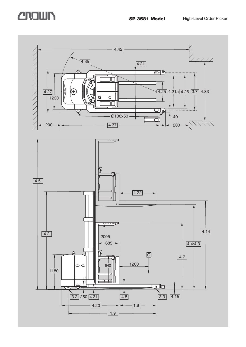

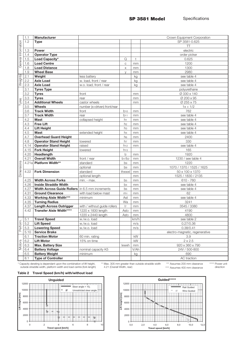|                     | 1.1    | <b>Manufacturer</b>                                                   | Crown Equipment Corporation  |                  |          |                                                                                                        |  |  |  |  |  |  |
|---------------------|--------|-----------------------------------------------------------------------|------------------------------|------------------|----------|--------------------------------------------------------------------------------------------------------|--|--|--|--|--|--|
|                     | 1.2    | <b>Type</b>                                                           |                              |                  |          | SP 3581-0.625                                                                                          |  |  |  |  |  |  |
| General Information |        |                                                                       |                              |                  |          | TT                                                                                                     |  |  |  |  |  |  |
|                     | 1.3    | Power                                                                 |                              |                  |          | electric                                                                                               |  |  |  |  |  |  |
|                     | 1.4    | <b>Operator Type</b>                                                  |                              |                  |          | order picker                                                                                           |  |  |  |  |  |  |
|                     | 1.5    | Load Capacity*                                                        |                              | Q                | t        | 0.625                                                                                                  |  |  |  |  |  |  |
|                     | 1.6    | <b>Load Centre</b>                                                    |                              | C                | mm       | 1200                                                                                                   |  |  |  |  |  |  |
|                     | 1.8    | <b>Load Distance</b>                                                  |                              | X                | mm       | 1300                                                                                                   |  |  |  |  |  |  |
|                     | 1.9    | <b>Wheel Base</b>                                                     |                              | y                | mm       | 2980                                                                                                   |  |  |  |  |  |  |
|                     | 2.1    | Weight                                                                | less battery                 |                  | kg       | see table 4                                                                                            |  |  |  |  |  |  |
| Weights             | 2.2    | <b>Axle Load</b>                                                      | w. load, front / rear        |                  | kg       | see table 4                                                                                            |  |  |  |  |  |  |
|                     | 2.3    | <b>Axle Load</b>                                                      | w.o. load, front / rear      |                  | kg       | see table 4                                                                                            |  |  |  |  |  |  |
|                     | 3.1    | <b>Tyres Type</b>                                                     |                              |                  |          | polyurethane                                                                                           |  |  |  |  |  |  |
|                     | 3.2    | <b>Tyres</b>                                                          | front                        |                  | mm       | Ø 330 x 140                                                                                            |  |  |  |  |  |  |
|                     | 3.3    | <b>Tyres</b>                                                          | rear                         |                  | mm       | Ø 200 x 95                                                                                             |  |  |  |  |  |  |
| Tyres               | 3.4    | <b>Additional Wheels</b>                                              | castor wheels                |                  | mm       | Ø 255 x 75                                                                                             |  |  |  |  |  |  |
|                     | 3.5    | <b>Wheels</b>                                                         | number (x=driven) front/rear |                  |          | $1x + 1/2$                                                                                             |  |  |  |  |  |  |
|                     | 3.6    | <b>Track Width</b>                                                    | front                        | $b_{10}$         | mm       | 762                                                                                                    |  |  |  |  |  |  |
|                     | 3.7    | <b>Track Width</b>                                                    | rear                         | b11              | mm       | see table 4                                                                                            |  |  |  |  |  |  |
|                     | 4.2    | Mast                                                                  | collapsed height             | h1               | mm       | see table 4                                                                                            |  |  |  |  |  |  |
|                     | 4.3    | <b>Free Lift</b>                                                      |                              | h <sub>2</sub>   | mm       | see table 4                                                                                            |  |  |  |  |  |  |
|                     | 4.4    | <b>Lift Height</b>                                                    |                              | hз               | mm       | see table 4                                                                                            |  |  |  |  |  |  |
|                     | 4.5    | Mast                                                                  | extended height              | h <sub>4</sub>   | mm       | see table 4                                                                                            |  |  |  |  |  |  |
|                     | 4.7    | <b>Overhead Guard Height</b>                                          |                              | h <sub>6</sub>   | mm       | 2400                                                                                                   |  |  |  |  |  |  |
|                     | 4.8    | <b>Operator Stand Height</b>                                          | lowered                      | h7               | mm       | 330                                                                                                    |  |  |  |  |  |  |
|                     | 4.14   | <b>Operator Stand Height</b>                                          | raised                       | h <sub>12</sub>  | mm       | see table 4                                                                                            |  |  |  |  |  |  |
|                     | 4.15   | <b>Fork Height</b>                                                    | lowered                      | h <sub>13</sub>  |          | 165                                                                                                    |  |  |  |  |  |  |
|                     | 4.20   | Headlength                                                            |                              | 2                | mm       | 1920                                                                                                   |  |  |  |  |  |  |
|                     | 4.21   | <b>Overall Width</b>                                                  | front / rear                 | b1/b2            | mm       | 1230 / see table 4                                                                                     |  |  |  |  |  |  |
|                     | 4.21al | Platform Width**                                                      | standard                     | b9               | mm       | 1220                                                                                                   |  |  |  |  |  |  |
| Dimensions          |        |                                                                       | optional                     | b9               | mm       | 1070 / 1370 / 1525 / 1625                                                                              |  |  |  |  |  |  |
|                     | 4.22   | <b>Fork Dimension</b>                                                 | standard                     | thxwxl           | mm       | 50 x 100 x 1370                                                                                        |  |  |  |  |  |  |
|                     |        |                                                                       | optional length              |                  | mm       | 1525 / 1830 / 2135                                                                                     |  |  |  |  |  |  |
|                     | 4.25   | <b>Width Across Forks</b>                                             | min. - max.                  | b <sub>5</sub>   | mm       | $610 - 760$                                                                                            |  |  |  |  |  |  |
|                     | 4.26   | <b>Inside Straddle Width</b>                                          |                              | b <sub>4</sub>   | $\rm mm$ | see table 4                                                                                            |  |  |  |  |  |  |
|                     | 4.27   | <b>Width Across Guide Rollers</b> in 6.5 mm increments                |                              | b <sub>6</sub>   | mm       | see table 4                                                                                            |  |  |  |  |  |  |
|                     | 4.31   | <b>Ground Clearance</b>                                               | with load below mast         | m <sub>1</sub>   | mm       | 62                                                                                                     |  |  |  |  |  |  |
|                     | 4.33   | <b>Working Aisle Width***</b>                                         | minimum                      | Ast              | mm       | see table 4                                                                                            |  |  |  |  |  |  |
|                     | 4.35   | <b>Turning Radius</b>                                                 |                              | Wa               | mm       | 3241                                                                                                   |  |  |  |  |  |  |
|                     | 4.37   | <b>Length Across Outrigger</b>                                        | with / without guide rollers | 17               | mm       | 3545 / 3380                                                                                            |  |  |  |  |  |  |
|                     | 4.42   | <b>Transfer Aisle Width****</b>                                       | 1220 x 1830 length           | Ast <sub>3</sub> | mm       | 4190                                                                                                   |  |  |  |  |  |  |
|                     |        |                                                                       | 1220 x 2440 length           | Ast <sub>3</sub> | mm       | 4800                                                                                                   |  |  |  |  |  |  |
|                     | 5.1    | <b>Travel Speed</b>                                                   | w./w.o. load                 |                  | km/h     | see table 2                                                                                            |  |  |  |  |  |  |
|                     | 5.2    | <b>Lift Speed</b>                                                     | w./w.o. load                 |                  | m/s      | 0.27/0.36                                                                                              |  |  |  |  |  |  |
| Perform.            | 5.3    | <b>Lowering Speed</b>                                                 | w./w.o. load                 |                  | m/s      | 0.38/0.41                                                                                              |  |  |  |  |  |  |
|                     | 5.10   | <b>Service Brake</b>                                                  |                              |                  |          | electro-magnetic, regenerative                                                                         |  |  |  |  |  |  |
|                     | 6.1    | <b>Traction Motor</b>                                                 | 60 min. rating               |                  | kW       | 3.9                                                                                                    |  |  |  |  |  |  |
| <b>Motors</b>       | 6.2    | <b>Lift Motor</b>                                                     | 15% on time                  |                  | kW       | $2 \times 2.5$                                                                                         |  |  |  |  |  |  |
|                     | 6.3    | Max. Battery Size                                                     |                              | <b>Ixwxh</b>     | mm       | 920 x 360 x 790                                                                                        |  |  |  |  |  |  |
|                     | 6.4    | <b>Battery Voltage</b>                                                | nominal capacity K5          |                  | V/Ah     | 24V / 500-800                                                                                          |  |  |  |  |  |  |
|                     | 6.5    | <b>Battery Weight</b>                                                 | minimum                      |                  | kg       | 690                                                                                                    |  |  |  |  |  |  |
|                     | 8.1    | <b>Type of Controller</b>                                             |                              |                  |          | AC traction                                                                                            |  |  |  |  |  |  |
|                     |        | * Capacity derating is dependant upon the combination of lift height, |                              |                  |          | *** Assumes 200 mm clearance<br>** Max. 305 mm greater than outside straddle width<br>***** Power unit |  |  |  |  |  |  |

\* Capacity derating is dependant upon the combination of lift height, outside straddle width, platform width and load centre (fork length)





\*\* Max. 305 mm greater than outside straddle width 4.21 (Overall Width, rear)

\*\*\* Assumes 200 mm clearance \*\*\*\* Assumes 400 mm clearance

direction

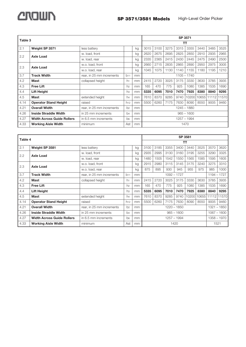

| Table 3 |                                   |                           |                |    |                                                              | SP 3571 |      |      |       |       |       |       |  |  |
|---------|-----------------------------------|---------------------------|----------------|----|--------------------------------------------------------------|---------|------|------|-------|-------|-------|-------|--|--|
|         |                                   |                           |                |    | <b>TT</b>                                                    |         |      |      |       |       |       |       |  |  |
| 2.1     | Weight SP 3571                    | less battery              |                | kg | 3015<br>3100<br>3315<br>3355<br>3485<br>3525<br>3275<br>3440 |         |      |      |       |       |       |       |  |  |
| 2.2     | <b>Axle Load</b>                  | w. load, front            |                | kg | 2620                                                         | 2675    | 2695 | 2825 | 2850  | 2910  | 2935  | 2965  |  |  |
|         |                                   | w. load, rear             |                | kg | 2335                                                         | 2365    | 2415 | 2430 | 2445  | 2475  | 2490  | 2500  |  |  |
| 2.3     | <b>Axle Load</b>                  | w.o. load, front          |                | kg | 2660                                                         | 2715    | 2835 | 2865 | 2890  | 2950  | 2975  | 3005  |  |  |
|         |                                   | w.o. load, rear           |                | kg | 1045                                                         | 1075    | 1130 | 1140 | 1155  | 1180  | 1195  | 1210  |  |  |
| 3.7     | <b>Track Width</b>                | rear, in 25 mm increments | b11            | mm | $1105 - 1740$                                                |         |      |      |       |       |       |       |  |  |
| 4.2     | <b>Mast</b>                       | collapsed height          | h <sub>1</sub> | mm | 2415                                                         | 2720    | 3025 | 3175 | 3330  | 3630  | 3785  | 3935  |  |  |
| 4.3     | <b>Free Lift</b>                  |                           | h2             | mm | 165                                                          | 470     | 775  | 925  | 1080  | 1385  | 1535  | 1690  |  |  |
| 4.4     | <b>Lift Height</b>                |                           | hз             | mm | 5335                                                         | 6095    | 7010 | 7470 | 7925  | 8380  | 8840  | 9295  |  |  |
| 4.5     | <b>Mast</b>                       | extended height           | h4             | mm | 7610                                                         | 8370    | 9285 | 9740 | 10200 | 10655 | 11112 | 11570 |  |  |
| 4.14    | <b>Operator Stand Height</b>      | raised                    | h12            | mm | 5500                                                         | 6260    | 7175 | 7630 | 8090  | 8550  | 9005  | 9460  |  |  |
| 4.21    | <b>Overall Width</b>              | rear, in 25 mm increments | b <sub>2</sub> | mm | $1245 - 1880$                                                |         |      |      |       |       |       |       |  |  |
| 4.26    | <b>Inside Straddle Width</b>      | in 25 mm increments       | b4             | mm | $965 - 1600$                                                 |         |      |      |       |       |       |       |  |  |
| 4.27    | <b>Width Across Guide Rollers</b> | in 6.5 mm increments      | b6             | mm | $1257 - 1994$                                                |         |      |      |       |       |       |       |  |  |
| 4.33    | <b>Working Aisle Width</b>        | minimum                   | Ast            | mm | 1470                                                         |         |      |      |       |       |       |       |  |  |

| Table 4 |                                   |                           |                |    |               | SP 3581 |      |      |       |               |               |       |  |  |
|---------|-----------------------------------|---------------------------|----------------|----|---------------|---------|------|------|-------|---------------|---------------|-------|--|--|
|         |                                   |                           |                |    | TT            |         |      |      |       |               |               |       |  |  |
| 2.1     | Weight SP 3581                    | less battery              |                | kg | 3100          | 3185    | 3355 | 3400 | 3440  | 3525          | 3570          | 3620  |  |  |
| 2.2     | <b>Axle Load</b>                  | w. load, front            |                | kg | 2935          | 2995    | 3130 | 3160 | 3195  | 3255          | 3290          | 3325  |  |  |
|         |                                   | w. load, rear             |                | kg | 1480          | 1505    | 1542 | 1550 | 1565  | 1585          | 1595          | 1605  |  |  |
| 2.3     | <b>Axle Load</b>                  | w.o. load, front          |                | kg | 2915          | 2980    | 3115 | 3145 | 3175  | 3240          | 3275          | 3310  |  |  |
|         |                                   | w.o. load, rear           |                | kg | 875           | 895     | 930  | 945  | 955   | 975           | 985           | 1000  |  |  |
| 3.7     | <b>Track Width</b>                | rear, in 25 mm increments | b11            | mm | $1092 - 1727$ |         |      |      |       |               | $1194 - 1727$ |       |  |  |
| 4.2     | <b>Mast</b>                       | collapsed height          | h <sub>1</sub> | mm | 2415          | 2720    | 3025 | 3175 | 3330  | 3630          | 3785          | 3935  |  |  |
| 4.3     | <b>Free Lift</b>                  |                           | h <sub>2</sub> | mm | 165           | 470     | 775  | 925  | 1080  | 1385          | 1535          | 1690  |  |  |
| 4.4     | <b>Lift Height</b>                |                           | $h_3$          | mm | 5335          | 6095    | 7010 | 7470 | 7925  | 8380          | 8840          | 9295  |  |  |
| 4.5     | <b>Mast</b>                       | extended height           | h4             | mm | 7610          | 8370    | 9285 | 9740 | 10200 | 10655         | 11112         | 11570 |  |  |
| 4.14    | <b>Operator Stand Height</b>      | raised                    | h12            | mm | 5500          | 6260    | 7175 | 7630 | 8090  | 8550          | 9005          | 9460  |  |  |
| 4.21    | <b>Overall Width</b>              | rear, in 25 mm increments | b <sub>2</sub> | mm | $1220 - 1850$ |         |      |      |       |               | $1321 - 1850$ |       |  |  |
| 4.26    | <b>Inside Straddle Width</b>      | in 25 mm increments       | b4             | mm | $965 - 1600$  |         |      |      |       |               | $1067 - 1600$ |       |  |  |
| 4.27    | <b>Width Across Guide Rollers</b> | in 6.5 mm increments      | b <sub>6</sub> | mm | $1257 - 1994$ |         |      |      |       | $1358 - 1970$ |               |       |  |  |
| 4.33    | <b>Working Aisle Width</b>        | minimum                   | Ast            | mm | 1420          |         |      |      |       | 1521          |               |       |  |  |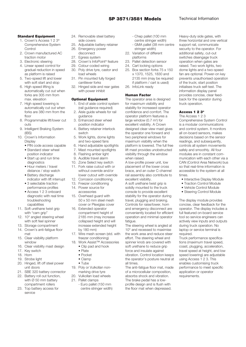#### **Standard Equipment**

- 1. Crown's Access 1 2 3® Comprehensive System Control
- 2. Crown manufactured AC traction motor
- 3. Electronic steering
- 4. Linear speed control for gradual reduction in speed as platform is raised
- 5. Two-speed lift and lower with soft start and stop
- 6. High speed lifting is automatically cut out when forks are 305 mm from max. elevation
- 7. High speed lowering is automatically cut out when forks are 380 mm from the floor
- 8. Programmable lift/lower cut outs
- 9. Intelligent Braking System  $(IBS)$
- 10. Crown's Information **Display** 
	- PIN code access capable
	- Standard steer wheel position indicator
	- Start up and run time diagnostics
	- Hour meters / travel distance / stop watch
	- Battery discharge indicator with lift interrupt
	- 3 selectable traction performance profiles
	- Access 1 2 3 onboard diagnostic with real time troubleshooting capabilities
- 11. Soft urethane twist grip with "cam grip"
- 12. 10° angled steering wheel with soft feel spinner
- 13. Storage compartment
- 14. Crown's anti-fatigue floor mat
- 15. Clear visibility platform window
- 16. Clear visibility mast design
- 17. Key switch
- 18. Horn
- 19. Strobe light
- 20. Hinged, lift off steel power unit doors
- 21. SBE 320 battery connector
- 22. Battery roll out function, with  $\varnothing$  50 mm battery compartment rollers
- 23. Top battery access for service
- 24. Removable steel battery side covers
- 25. Adjustable battery retainer 26. Emergency power
- disconnect 27. Egress system
- 28. Crown's InfoPoint ® feature
- 29. Colour-coded wiring
- 30. Poly drive tyre, castor and load wheels
- 31. Pin mounted fully forged cantilever forks
- 32. Hinged side and rear gates with power inhibit

#### **Optional Equipment**

- 1. End of aisle control system (rail guidance required) 2. Aisle guide wheels for rail
- guidance
- 3. Enhanced steer wheel position indicator
- 4. Battery retainer interlock switch
- 5. Work lights, dome lights and two-speed fans
- 6. Hand adjustable spotlights
- 7. Mast mounted spotlights
- 8. Flashing amber light
- 9. Audible travel alarm
- 10. Zone Select key switch 11. Fork raise cutout with or without override and/or lower cutout with override
- 12. Corrosion conditioning 13. Freezer conditioning
- 14. Power source for
- accessories
- 15. Overhead guard with 50 x 50 mm steel mesh cover or Plexiglas cover 16. Extended operator
- compartment height of 2185 mm (may increase collapsed height and will increase extended height by 180 mm)
- 17. Wire mesh screen (std. with freezer conditioning)
- 18. Work Assist™ Accessories • Clip pad and hook
	- Plate
	- Pocket
	- Clamp
	- Tube
- 19. Poly or Vulkollan nonmarking drive tyre
- 20. Vulkollan load wheels 21. Pallet clamps
	- Euro pallet (150 mm centre stringer width)
- Chep pallet (100 mm centre stringer width)
- GMA pallet (38 mm centre stringer width)
- 22. Variation of different platforms
- 23. Pallet detection sensor
- 24. Cart locking options
- 25. Box section forks 75 x 150 x 1370, 1525, 1830 and 2135 mm (may be required if platform / cart is used)
- 26. InfoLink ready

#### **Human Factor**

The operator area is designed for maximum visibility and stability for increased operator confidence and comfort. The operator platform features a large window  $(0.7 \text{ m}^2)$  for excellent visibility. A Crown designed clear-view mast gives the operator one forward and two peripheral windows for maximum visibility when the platform is lowered. The full free lift mast provides unobstructed visibility through the window when raised.

A low-profile power unit, low placement of the lower cross brace, and an outer C-channel rail assembly also contribute to excellent visibility.

A soft urethane twist grip is solidly mounted to the truck console to provide excellent stability for the operator during travel, plugging and braking. Controls for raise/lower, horn and emergency disconnect are conveniently located for efficient operation and minimal operator fatigue.

The steering wheel is angled at 10° and recessed to maximise the work area and reduce steer effort. The steering wheel and spinner knob are covered with soft urethane to reduce grip force and insulate against vibration. Control location keeps the operator's posture neutral at

all times. The anti-fatigue floor mat, made of a microcellular composition,

absorbs shock and vibration. The brake pedal has a lowprofile design and is flush with the floor mat when depressed. Heavy-duty side gates, with three horizontal and one vertical support rail, communicate security to the operator. For additional safety, cut-out switches disengage truck operation when gates are raised. Two work lights, two dome lights and a two-speed fan are optional. Power-on key prevents unauthorised operation of the truck; start position initialises truck self-test. The information display panel provides concise, clear feedback for the operator during truck operation.

#### **Access 1 2 3®**

The Access 1 2 3 Comprehensive System Control is a modular communications and control system. It monitors all on-board sensors, makes decisions based on the sensor readings, and subsequently, controls all system movements safely and smoothly. All four modules are in constant communication with each other via a CAN (Control Area Network) bus so that real-time information is accessible to the system at all times.

- Interactive Display Module
- Traction Control Module
- Vehicle Control Module
- Steering Control Module

The display module provides concise, clear feedback for the operator. The display includes a full featured on-board service tool so service engineers can actively view inputs and outputs during truck operation. No laptop or service terminal is required.

Truck performance specifications (maximum travel speed, coast, plugging, acceleration, travel speed at height, and low speed lowering) are adjustable using Access 1 2 3. This enables customising truck performance to meet specific application or operator requirements.